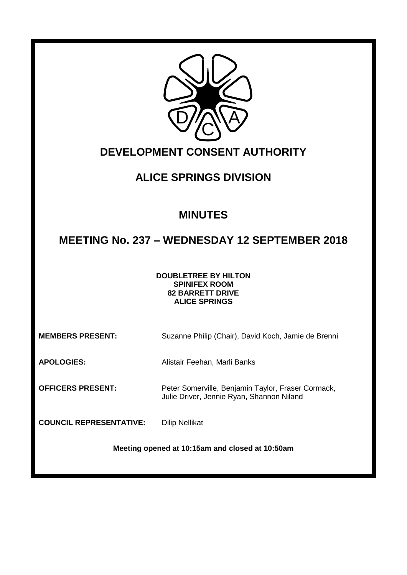

# **DEVELOPMENT CONSENT AUTHORITY**

# **ALICE SPRINGS DIVISION**

# **MINUTES**

# **MEETING No. 237 – WEDNESDAY 12 SEPTEMBER 2018**

#### **DOUBLETREE BY HILTON SPINIFEX ROOM 82 BARRETT DRIVE ALICE SPRINGS**

**MEMBERS PRESENT:** Suzanne Philip (Chair), David Koch, Jamie de Brenni

Julie Driver, Jennie Ryan, Shannon Niland

**APOLOGIES:** Alistair Feehan, Marli Banks

**OFFICERS PRESENT:** Peter Somerville, Benjamin Taylor, Fraser Cormack,

**COUNCIL REPRESENTATIVE:** Dilip Nellikat

**Meeting opened at 10:15am and closed at 10:50am**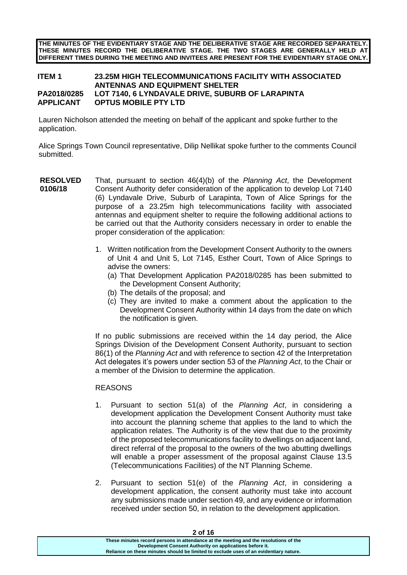**THE MINUTES OF THE EVIDENTIARY STAGE AND THE DELIBERATIVE STAGE ARE RECORDED SEPARATELY. THESE MINUTES RECORD THE DELIBERATIVE STAGE. THE TWO STAGES ARE GENERALLY HELD AT DIFFERENT TIMES DURING THE MEETING AND INVITEES ARE PRESENT FOR THE EVIDENTIARY STAGE ONLY.**

#### **ITEM 1 23.25M HIGH TELECOMMUNICATIONS FACILITY WITH ASSOCIATED ANTENNAS AND EQUIPMENT SHELTER PA2018/0285 LOT 7140, 6 LYNDAVALE DRIVE, SUBURB OF LARAPINTA APPLICANT OPTUS MOBILE PTY LTD**

Lauren Nicholson attended the meeting on behalf of the applicant and spoke further to the application.

Alice Springs Town Council representative, Dilip Nellikat spoke further to the comments Council submitted.

- **RESOLVED 0106/18** That, pursuant to section 46(4)(b) of the *Planning Act*, the Development Consent Authority defer consideration of the application to develop Lot 7140 (6) Lyndavale Drive, Suburb of Larapinta, Town of Alice Springs for the purpose of a 23.25m high telecommunications facility with associated antennas and equipment shelter to require the following additional actions to be carried out that the Authority considers necessary in order to enable the proper consideration of the application:
	- 1. Written notification from the Development Consent Authority to the owners of Unit 4 and Unit 5, Lot 7145, Esther Court, Town of Alice Springs to advise the owners:
		- (a) That Development Application PA2018/0285 has been submitted to the Development Consent Authority;
		- (b) The details of the proposal; and
		- (c) They are invited to make a comment about the application to the Development Consent Authority within 14 days from the date on which the notification is given.

If no public submissions are received within the 14 day period, the Alice Springs Division of the Development Consent Authority, pursuant to section 86(1) of the *Planning Act* and with reference to section 42 of the Interpretation Act delegates it's powers under section 53 of the *Planning Act*, to the Chair or a member of the Division to determine the application.

#### **REASONS**

- 1. Pursuant to section 51(a) of the *Planning Act*, in considering a development application the Development Consent Authority must take into account the planning scheme that applies to the land to which the application relates. The Authority is of the view that due to the proximity of the proposed telecommunications facility to dwellings on adjacent land, direct referral of the proposal to the owners of the two abutting dwellings will enable a proper assessment of the proposal against Clause 13.5 (Telecommunications Facilities) of the NT Planning Scheme.
- 2. Pursuant to section 51(e) of the *Planning Act*, in considering a development application, the consent authority must take into account any submissions made under section 49, and any evidence or information received under section 50, in relation to the development application.

**2 of 16**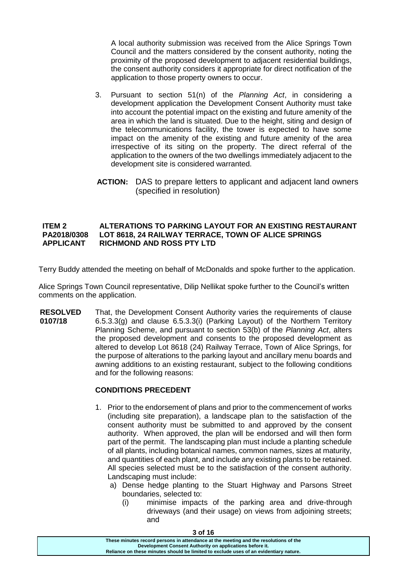A local authority submission was received from the Alice Springs Town Council and the matters considered by the consent authority, noting the proximity of the proposed development to adjacent residential buildings, the consent authority considers it appropriate for direct notification of the application to those property owners to occur.

- 3. Pursuant to section 51(n) of the *Planning Act*, in considering a development application the Development Consent Authority must take into account the potential impact on the existing and future amenity of the area in which the land is situated. Due to the height, siting and design of the telecommunications facility, the tower is expected to have some impact on the amenity of the existing and future amenity of the area irrespective of its siting on the property. The direct referral of the application to the owners of the two dwellings immediately adjacent to the development site is considered warranted.
- **ACTION:** DAS to prepare letters to applicant and adjacent land owners (specified in resolution)

# **ITEM 2 ALTERATIONS TO PARKING LAYOUT FOR AN EXISTING RESTAURANT PA2018/0308 LOT 8618, 24 RAILWAY TERRACE, TOWN OF ALICE SPRINGS RICHMOND AND ROSS PTY LTD**

Terry Buddy attended the meeting on behalf of McDonalds and spoke further to the application.

Alice Springs Town Council representative, Dilip Nellikat spoke further to the Council's written comments on the application.

**RESOLVED 0107/18** That, the Development Consent Authority varies the requirements of clause 6.5.3.3(g) and clause 6.5.3.3(i) (Parking Layout) of the Northern Territory Planning Scheme, and pursuant to section 53(b) of the *Planning Act*, alters the proposed development and consents to the proposed development as altered to develop Lot 8618 (24) Railway Terrace, Town of Alice Springs, for the purpose of alterations to the parking layout and ancillary menu boards and awning additions to an existing restaurant, subject to the following conditions and for the following reasons:

# **CONDITIONS PRECEDENT**

- 1. Prior to the endorsement of plans and prior to the commencement of works (including site preparation), a landscape plan to the satisfaction of the consent authority must be submitted to and approved by the consent authority. When approved, the plan will be endorsed and will then form part of the permit. The landscaping plan must include a planting schedule of all plants, including botanical names, common names, sizes at maturity, and quantities of each plant, and include any existing plants to be retained. All species selected must be to the satisfaction of the consent authority. Landscaping must include:
	- a) Dense hedge planting to the Stuart Highway and Parsons Street boundaries, selected to:
		- (i) minimise impacts of the parking area and drive-through driveways (and their usage) on views from adjoining streets; and

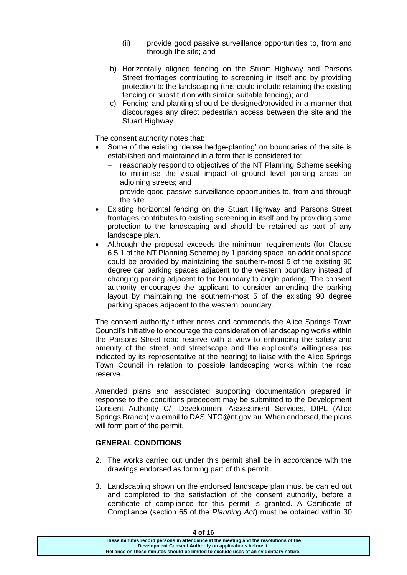- (ii) provide good passive surveillance opportunities to, from and through the site; and
- b) Horizontally aligned fencing on the Stuart Highway and Parsons Street frontages contributing to screening in itself and by providing protection to the landscaping (this could include retaining the existing fencing or substitution with similar suitable fencing); and
- c) Fencing and planting should be designed/provided in a manner that discourages any direct pedestrian access between the site and the Stuart Highway.

The consent authority notes that:

- Some of the existing 'dense hedge-planting' on boundaries of the site is established and maintained in a form that is considered to:
	- reasonably respond to objectives of the NT Planning Scheme seeking to minimise the visual impact of ground level parking areas on adjoining streets; and
	- provide good passive surveillance opportunities to, from and through the site.
- Existing horizontal fencing on the Stuart Highway and Parsons Street frontages contributes to existing screening in itself and by providing some protection to the landscaping and should be retained as part of any landscape plan.
- Although the proposal exceeds the minimum requirements (for Clause 6.5.1 of the NT Planning Scheme) by 1 parking space, an additional space could be provided by maintaining the southern-most 5 of the existing 90 degree car parking spaces adjacent to the western boundary instead of changing parking adjacent to the boundary to angle parking. The consent authority encourages the applicant to consider amending the parking layout by maintaining the southern-most 5 of the existing 90 degree parking spaces adjacent to the western boundary.

The consent authority further notes and commends the Alice Springs Town Council's initiative to encourage the consideration of landscaping works within the Parsons Street road reserve with a view to enhancing the safety and amenity of the street and streetscape and the applicant's willingness (as indicated by its representative at the hearing) to liaise with the Alice Springs Town Council in relation to possible landscaping works within the road reserve.

Amended plans and associated supporting documentation prepared in response to the conditions precedent may be submitted to the Development Consent Authority C/- Development Assessment Services, DIPL (Alice Springs Branch) via email to DAS.NTG@nt.gov.au. When endorsed, the plans will form part of the permit.

#### **GENERAL CONDITIONS**

- 2. The works carried out under this permit shall be in accordance with the drawings endorsed as forming part of this permit.
- 3. Landscaping shown on the endorsed landscape plan must be carried out and completed to the satisfaction of the consent authority, before a certificate of compliance for this permit is granted. A Certificate of Compliance (section 65 of the *Planning Act*) must be obtained within 30

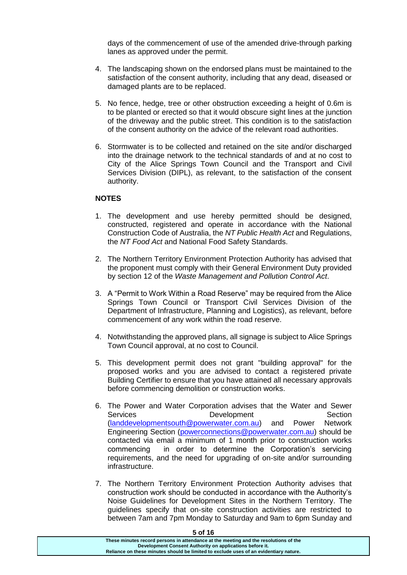days of the commencement of use of the amended drive-through parking lanes as approved under the permit.

- 4. The landscaping shown on the endorsed plans must be maintained to the satisfaction of the consent authority, including that any dead, diseased or damaged plants are to be replaced.
- 5. No fence, hedge, tree or other obstruction exceeding a height of 0.6m is to be planted or erected so that it would obscure sight lines at the junction of the driveway and the public street. This condition is to the satisfaction of the consent authority on the advice of the relevant road authorities.
- 6. Stormwater is to be collected and retained on the site and/or discharged into the drainage network to the technical standards of and at no cost to City of the Alice Springs Town Council and the Transport and Civil Services Division (DIPL), as relevant, to the satisfaction of the consent authority.

#### **NOTES**

- 1. The development and use hereby permitted should be designed, constructed, registered and operate in accordance with the National Construction Code of Australia, the *NT Public Health Act* and Regulations, the *NT Food Act* and National Food Safety Standards.
- 2. The Northern Territory Environment Protection Authority has advised that the proponent must comply with their General Environment Duty provided by section 12 of the *Waste Management and Pollution Control Act*.
- 3. A "Permit to Work Within a Road Reserve" may be required from the Alice Springs Town Council or Transport Civil Services Division of the Department of Infrastructure, Planning and Logistics), as relevant, before commencement of any work within the road reserve.
- 4. Notwithstanding the approved plans, all signage is subject to Alice Springs Town Council approval, at no cost to Council.
- 5. This development permit does not grant "building approval" for the proposed works and you are advised to contact a registered private Building Certifier to ensure that you have attained all necessary approvals before commencing demolition or construction works.
- 6. The Power and Water Corporation advises that the Water and Sewer Services Development Section [\(landdevelopmentsouth@powerwater.com.au\)](mailto:landdevelopmentsouth@powerwater.com.au) and Power Network Engineering Section [\(powerconnections@powerwater.com.au\)](mailto:powerconnections@powerwater.com.au) should be contacted via email a minimum of 1 month prior to construction works commencing in order to determine the Corporation's servicing requirements, and the need for upgrading of on-site and/or surrounding infrastructure.
- 7. The Northern Territory Environment Protection Authority advises that construction work should be conducted in accordance with the Authority's Noise Guidelines for Development Sites in the Northern Territory. The guidelines specify that on-site construction activities are restricted to between 7am and 7pm Monday to Saturday and 9am to 6pm Sunday and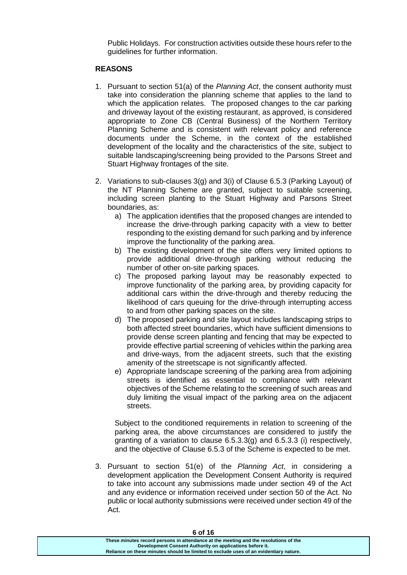Public Holidays. For construction activities outside these hours refer to the guidelines for further information.

#### **REASONS**

- 1. Pursuant to section 51(a) of the *Planning Act*, the consent authority must take into consideration the planning scheme that applies to the land to which the application relates. The proposed changes to the car parking and driveway layout of the existing restaurant, as approved, is considered appropriate to Zone CB (Central Business) of the Northern Territory Planning Scheme and is consistent with relevant policy and reference documents under the Scheme, in the context of the established development of the locality and the characteristics of the site, subject to suitable landscaping/screening being provided to the Parsons Street and Stuart Highway frontages of the site.
- 2. Variations to sub-clauses 3(g) and 3(i) of Clause 6.5.3 (Parking Layout) of the NT Planning Scheme are granted, subject to suitable screening, including screen planting to the Stuart Highway and Parsons Street boundaries, as:
	- a) The application identifies that the proposed changes are intended to increase the drive-through parking capacity with a view to better responding to the existing demand for such parking and by inference improve the functionality of the parking area.
	- b) The existing development of the site offers very limited options to provide additional drive-through parking without reducing the number of other on-site parking spaces.
	- c) The proposed parking layout may be reasonably expected to improve functionality of the parking area, by providing capacity for additional cars within the drive-through and thereby reducing the likelihood of cars queuing for the drive-through interrupting access to and from other parking spaces on the site.
	- d) The proposed parking and site layout includes landscaping strips to both affected street boundaries, which have sufficient dimensions to provide dense screen planting and fencing that may be expected to provide effective partial screening of vehicles within the parking area and drive-ways, from the adjacent streets, such that the existing amenity of the streetscape is not significantly affected.
	- e) Appropriate landscape screening of the parking area from adjoining streets is identified as essential to compliance with relevant objectives of the Scheme relating to the screening of such areas and duly limiting the visual impact of the parking area on the adjacent streets.

Subject to the conditioned requirements in relation to screening of the parking area, the above circumstances are considered to justify the granting of a variation to clause 6.5.3.3(g) and 6.5.3.3 (i) respectively, and the objective of Clause 6.5.3 of the Scheme is expected to be met.

3. Pursuant to section 51(e) of the *Planning Act*, in considering a development application the Development Consent Authority is required to take into account any submissions made under section 49 of the Act and any evidence or information received under section 50 of the Act. No public or local authority submissions were received under section 49 of the Act.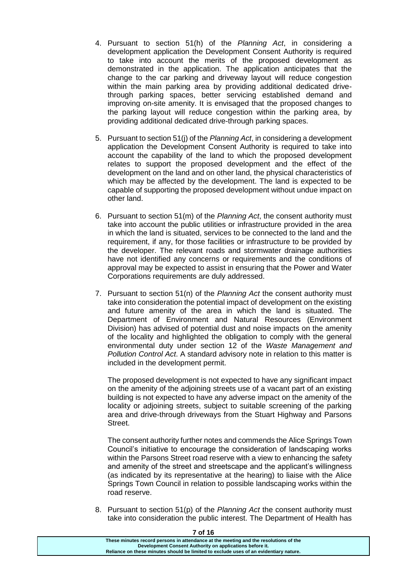- 4. Pursuant to section 51(h) of the *Planning Act*, in considering a development application the Development Consent Authority is required to take into account the merits of the proposed development as demonstrated in the application. The application anticipates that the change to the car parking and driveway layout will reduce congestion within the main parking area by providing additional dedicated drivethrough parking spaces, better servicing established demand and improving on-site amenity. It is envisaged that the proposed changes to the parking layout will reduce congestion within the parking area, by providing additional dedicated drive-through parking spaces.
- 5. Pursuant to section 51(j) of the *Planning Act*, in considering a development application the Development Consent Authority is required to take into account the capability of the land to which the proposed development relates to support the proposed development and the effect of the development on the land and on other land, the physical characteristics of which may be affected by the development. The land is expected to be capable of supporting the proposed development without undue impact on other land.
- 6. Pursuant to section 51(m) of the *Planning Act*, the consent authority must take into account the public utilities or infrastructure provided in the area in which the land is situated, services to be connected to the land and the requirement, if any, for those facilities or infrastructure to be provided by the developer. The relevant roads and stormwater drainage authorities have not identified any concerns or requirements and the conditions of approval may be expected to assist in ensuring that the Power and Water Corporations requirements are duly addressed.
- 7. Pursuant to section 51(n) of the *Planning Act* the consent authority must take into consideration the potential impact of development on the existing and future amenity of the area in which the land is situated. The Department of Environment and Natural Resources (Environment Division) has advised of potential dust and noise impacts on the amenity of the locality and highlighted the obligation to comply with the general environmental duty under section 12 of the *Waste Management and Pollution Control Act*. A standard advisory note in relation to this matter is included in the development permit.

The proposed development is not expected to have any significant impact on the amenity of the adjoining streets use of a vacant part of an existing building is not expected to have any adverse impact on the amenity of the locality or adjoining streets, subject to suitable screening of the parking area and drive-through driveways from the Stuart Highway and Parsons Street.

The consent authority further notes and commends the Alice Springs Town Council's initiative to encourage the consideration of landscaping works within the Parsons Street road reserve with a view to enhancing the safety and amenity of the street and streetscape and the applicant's willingness (as indicated by its representative at the hearing) to liaise with the Alice Springs Town Council in relation to possible landscaping works within the road reserve.

8. Pursuant to section 51(p) of the *Planning Act* the consent authority must take into consideration the public interest. The Department of Health has

| טו וט                                                                                 |  |
|---------------------------------------------------------------------------------------|--|
| These minutes record persons in attendance at the meeting and the resolutions of the  |  |
| Development Consent Authority on applications before it.                              |  |
| Reliance on these minutes should be limited to exclude uses of an evidentiary nature. |  |
|                                                                                       |  |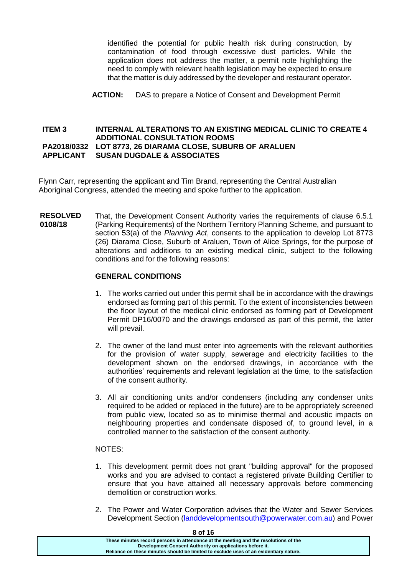identified the potential for public health risk during construction, by contamination of food through excessive dust particles. While the application does not address the matter, a permit note highlighting the need to comply with relevant health legislation may be expected to ensure that the matter is duly addressed by the developer and restaurant operator.

**ACTION:** DAS to prepare a Notice of Consent and Development Permit

#### **ITEM 3 INTERNAL ALTERATIONS TO AN EXISTING MEDICAL CLINIC TO CREATE 4 ADDITIONAL CONSULTATION ROOMS PA2018/0332 LOT 8773, 26 DIARAMA CLOSE, SUBURB OF ARALUEN APPLICANT SUSAN DUGDALE & ASSOCIATES**

Flynn Carr, representing the applicant and Tim Brand, representing the Central Australian Aboriginal Congress, attended the meeting and spoke further to the application.

**RESOLVED 0108/18** That, the Development Consent Authority varies the requirements of clause 6.5.1 (Parking Requirements) of the Northern Territory Planning Scheme, and pursuant to section 53(a) of the *Planning Act*, consents to the application to develop Lot 8773 (26) Diarama Close, Suburb of Araluen, Town of Alice Springs, for the purpose of alterations and additions to an existing medical clinic, subject to the following conditions and for the following reasons:

# **GENERAL CONDITIONS**

- 1. The works carried out under this permit shall be in accordance with the drawings endorsed as forming part of this permit. To the extent of inconsistencies between the floor layout of the medical clinic endorsed as forming part of Development Permit DP16/0070 and the drawings endorsed as part of this permit, the latter will prevail.
- 2. The owner of the land must enter into agreements with the relevant authorities for the provision of water supply, sewerage and electricity facilities to the development shown on the endorsed drawings, in accordance with the authorities' requirements and relevant legislation at the time, to the satisfaction of the consent authority.
- 3. All air conditioning units and/or condensers (including any condenser units required to be added or replaced in the future) are to be appropriately screened from public view, located so as to minimise thermal and acoustic impacts on neighbouring properties and condensate disposed of, to ground level, in a controlled manner to the satisfaction of the consent authority.

# NOTES:

- 1. This development permit does not grant "building approval" for the proposed works and you are advised to contact a registered private Building Certifier to ensure that you have attained all necessary approvals before commencing demolition or construction works.
- 2. The Power and Water Corporation advises that the Water and Sewer Services Development Section [\(landdevelopmentsouth@powerwater.com.au\)](mailto:landdevelopmentsouth@powerwater.com.au) and Power

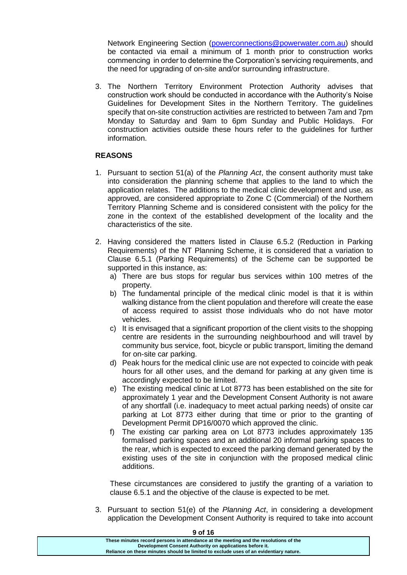Network Engineering Section [\(powerconnections@powerwater.com.au\)](mailto:powerconnections@powerwater.com.au) should be contacted via email a minimum of 1 month prior to construction works commencing in order to determine the Corporation's servicing requirements, and the need for upgrading of on-site and/or surrounding infrastructure.

3. The Northern Territory Environment Protection Authority advises that construction work should be conducted in accordance with the Authority's Noise Guidelines for Development Sites in the Northern Territory. The guidelines specify that on-site construction activities are restricted to between 7am and 7pm Monday to Saturday and 9am to 6pm Sunday and Public Holidays. For construction activities outside these hours refer to the guidelines for further information.

# **REASONS**

- 1. Pursuant to section 51(a) of the *Planning Act*, the consent authority must take into consideration the planning scheme that applies to the land to which the application relates. The additions to the medical clinic development and use, as approved, are considered appropriate to Zone C (Commercial) of the Northern Territory Planning Scheme and is considered consistent with the policy for the zone in the context of the established development of the locality and the characteristics of the site.
- 2. Having considered the matters listed in Clause 6.5.2 (Reduction in Parking Requirements) of the NT Planning Scheme, it is considered that a variation to Clause 6.5.1 (Parking Requirements) of the Scheme can be supported be supported in this instance, as:
	- a) There are bus stops for regular bus services within 100 metres of the property.
	- b) The fundamental principle of the medical clinic model is that it is within walking distance from the client population and therefore will create the ease of access required to assist those individuals who do not have motor vehicles.
	- c) It is envisaged that a significant proportion of the client visits to the shopping centre are residents in the surrounding neighbourhood and will travel by community bus service, foot, bicycle or public transport, limiting the demand for on-site car parking.
	- d) Peak hours for the medical clinic use are not expected to coincide with peak hours for all other uses, and the demand for parking at any given time is accordingly expected to be limited.
	- e) The existing medical clinic at Lot 8773 has been established on the site for approximately 1 year and the Development Consent Authority is not aware of any shortfall (i.e. inadequacy to meet actual parking needs) of onsite car parking at Lot 8773 either during that time or prior to the granting of Development Permit DP16/0070 which approved the clinic.
	- f) The existing car parking area on Lot 8773 includes approximately 135 formalised parking spaces and an additional 20 informal parking spaces to the rear, which is expected to exceed the parking demand generated by the existing uses of the site in conjunction with the proposed medical clinic additions.

These circumstances are considered to justify the granting of a variation to clause 6.5.1 and the objective of the clause is expected to be met.

3. Pursuant to section 51(e) of the *Planning Act*, in considering a development application the Development Consent Authority is required to take into account

| 9 OT 16                                                                               |
|---------------------------------------------------------------------------------------|
| These minutes record persons in attendance at the meeting and the resolutions of the  |
| Development Consent Authority on applications before it.                              |
| Reliance on these minutes should be limited to exclude uses of an evidentiary nature. |
|                                                                                       |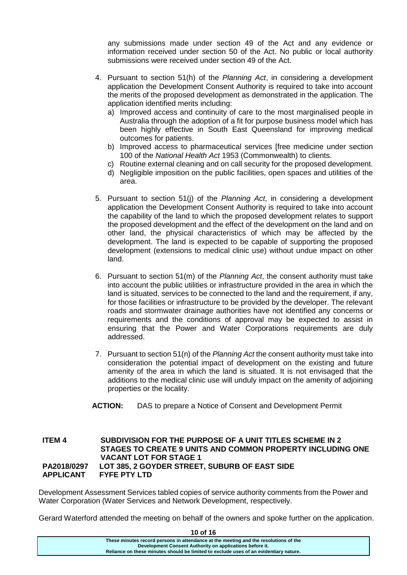any submissions made under section 49 of the Act and any evidence or information received under section 50 of the Act. No public or local authority submissions were received under section 49 of the Act.

- 4. Pursuant to section 51(h) of the *Planning Act*, in considering a development application the Development Consent Authority is required to take into account the merits of the proposed development as demonstrated in the application. The application identified merits including:
	- a) Improved access and continuity of care to the most marginalised people in Australia through the adoption of a fit for purpose business model which has been highly effective in South East Queensland for improving medical outcomes for patients.
	- b) Improved access to pharmaceutical services [free medicine under section 100 of the *National Health Act* 1953 (Commonwealth) to clients.
	- c) Routine external cleaning and on call security for the proposed development.
	- d) Negligible imposition on the public facilities, open spaces and utilities of the area.
- 5. Pursuant to section 51(j) of the *Planning Act*, in considering a development application the Development Consent Authority is required to take into account the capability of the land to which the proposed development relates to support the proposed development and the effect of the development on the land and on other land, the physical characteristics of which may be affected by the development. The land is expected to be capable of supporting the proposed development (extensions to medical clinic use) without undue impact on other land.
- 6. Pursuant to section 51(m) of the *Planning Act*, the consent authority must take into account the public utilities or infrastructure provided in the area in which the land is situated, services to be connected to the land and the requirement, if any, for those facilities or infrastructure to be provided by the developer. The relevant roads and stormwater drainage authorities have not identified any concerns or requirements and the conditions of approval may be expected to assist in ensuring that the Power and Water Corporations requirements are duly addressed.
- 7. Pursuant to section 51(n) of the *Planning Act* the consent authority must take into consideration the potential impact of development on the existing and future amenity of the area in which the land is situated. It is not envisaged that the additions to the medical clinic use will unduly impact on the amenity of adjoining properties or the locality.
- **ACTION:** DAS to prepare a Notice of Consent and Development Permit

# **ITEM 4 SUBDIVISION FOR THE PURPOSE OF A UNIT TITLES SCHEME IN 2 STAGES TO CREATE 9 UNITS AND COMMON PROPERTY INCLUDING ONE VACANT LOT FOR STAGE 1 PA2018/0297 LOT 385, 2 GOYDER STREET, SUBURB OF EAST SIDE APPLICANT FYFE PTY LTD**

Development Assessment Services tabled copies of service authority comments from the Power and Water Corporation (Water Services and Network Development, respectively.

Gerard Waterford attended the meeting on behalf of the owners and spoke further on the application.

| 10 of 16                                                                                                                                                                                                                                  |  |
|-------------------------------------------------------------------------------------------------------------------------------------------------------------------------------------------------------------------------------------------|--|
| These minutes record persons in attendance at the meeting and the resolutions of the<br>Development Consent Authority on applications before it.<br>Reliance on these minutes should be limited to exclude uses of an evidentiary nature. |  |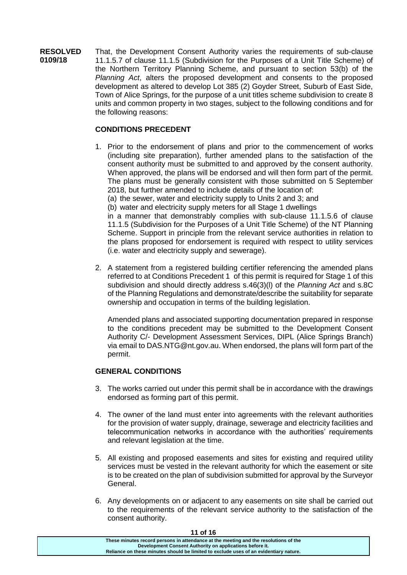**RESOLVED 0109/18** That, the Development Consent Authority varies the requirements of sub-clause 11.1.5.7 of clause 11.1.5 (Subdivision for the Purposes of a Unit Title Scheme) of the Northern Territory Planning Scheme, and pursuant to section 53(b) of the *Planning Act*, alters the proposed development and consents to the proposed development as altered to develop Lot 385 (2) Goyder Street, Suburb of East Side, Town of Alice Springs, for the purpose of a unit titles scheme subdivision to create 8 units and common property in two stages, subject to the following conditions and for the following reasons:

# **CONDITIONS PRECEDENT**

- 1. Prior to the endorsement of plans and prior to the commencement of works (including site preparation), further amended plans to the satisfaction of the consent authority must be submitted to and approved by the consent authority. When approved, the plans will be endorsed and will then form part of the permit. The plans must be generally consistent with those submitted on 5 September 2018, but further amended to include details of the location of:
	- (a) the sewer, water and electricity supply to Units 2 and 3; and
	- (b) water and electricity supply meters for all Stage 1 dwellings

in a manner that demonstrably complies with sub-clause 11.1.5.6 of clause 11.1.5 (Subdivision for the Purposes of a Unit Title Scheme) of the NT Planning Scheme. Support in principle from the relevant service authorities in relation to the plans proposed for endorsement is required with respect to utility services (i.e. water and electricity supply and sewerage).

2. A statement from a registered building certifier referencing the amended plans referred to at Conditions Precedent 1 of this permit is required for Stage 1 of this subdivision and should directly address s.46(3)(l) of the *Planning Act* and s.8C of the Planning Regulations and demonstrate/describe the suitability for separate ownership and occupation in terms of the building legislation.

Amended plans and associated supporting documentation prepared in response to the conditions precedent may be submitted to the Development Consent Authority C/- Development Assessment Services, DIPL (Alice Springs Branch) via email to DAS.NTG@nt.gov.au. When endorsed, the plans will form part of the permit.

# **GENERAL CONDITIONS**

- 3. The works carried out under this permit shall be in accordance with the drawings endorsed as forming part of this permit.
- 4. The owner of the land must enter into agreements with the relevant authorities for the provision of water supply, drainage, sewerage and electricity facilities and telecommunication networks in accordance with the authorities' requirements and relevant legislation at the time.
- 5. All existing and proposed easements and sites for existing and required utility services must be vested in the relevant authority for which the easement or site is to be created on the plan of subdivision submitted for approval by the Surveyor General.
- 6. Any developments on or adjacent to any easements on site shall be carried out to the requirements of the relevant service authority to the satisfaction of the consent authority.

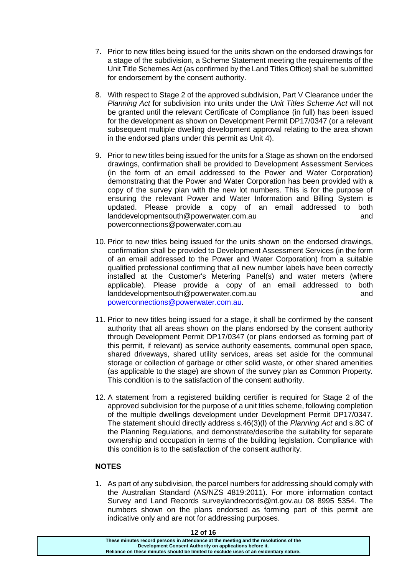- 7. Prior to new titles being issued for the units shown on the endorsed drawings for a stage of the subdivision, a Scheme Statement meeting the requirements of the Unit Title Schemes Act (as confirmed by the Land Titles Office) shall be submitted for endorsement by the consent authority.
- 8. With respect to Stage 2 of the approved subdivision, Part V Clearance under the *Planning Act* for subdivision into units under the *Unit Titles Scheme Act* will not be granted until the relevant Certificate of Compliance (in full) has been issued for the development as shown on Development Permit DP17/0347 (or a relevant subsequent multiple dwelling development approval relating to the area shown in the endorsed plans under this permit as Unit 4).
- 9. Prior to new titles being issued for the units for a Stage as shown on the endorsed drawings, confirmation shall be provided to Development Assessment Services (in the form of an email addressed to the Power and Water Corporation) demonstrating that the Power and Water Corporation has been provided with a copy of the survey plan with the new lot numbers. This is for the purpose of ensuring the relevant Power and Water Information and Billing System is updated. Please provide a copy of an email addressed to both landdevelopmentsouth@powerwater.com.au and powerconnections@powerwater.com.au
- 10. Prior to new titles being issued for the units shown on the endorsed drawings, confirmation shall be provided to Development Assessment Services (in the form of an email addressed to the Power and Water Corporation) from a suitable qualified professional confirming that all new number labels have been correctly installed at the Customer's Metering Panel(s) and water meters (where applicable). Please provide a copy of an email addressed to both landdevelopmentsouth@powerwater.com.au and [powerconnections@powerwater.com.au.](mailto:powerconnections@powerwater.com.au)
- 11. Prior to new titles being issued for a stage, it shall be confirmed by the consent authority that all areas shown on the plans endorsed by the consent authority through Development Permit DP17/0347 (or plans endorsed as forming part of this permit, if relevant) as service authority easements, communal open space, shared driveways, shared utility services, areas set aside for the communal storage or collection of garbage or other solid waste, or other shared amenities (as applicable to the stage) are shown of the survey plan as Common Property. This condition is to the satisfaction of the consent authority.
- 12. A statement from a registered building certifier is required for Stage 2 of the approved subdivision for the purpose of a unit titles scheme, following completion of the multiple dwellings development under Development Permit DP17/0347. The statement should directly address s.46(3)(l) of the *Planning Act* and s.8C of the Planning Regulations, and demonstrate/describe the suitability for separate ownership and occupation in terms of the building legislation. Compliance with this condition is to the satisfaction of the consent authority.

# **NOTES**

1. As part of any subdivision, the parcel numbers for addressing should comply with the Australian Standard (AS/NZS 4819:2011). For more information contact Survey and Land Records surveylandrecords@nt.gov.au 08 8995 5354. The numbers shown on the plans endorsed as forming part of this permit are indicative only and are not for addressing purposes.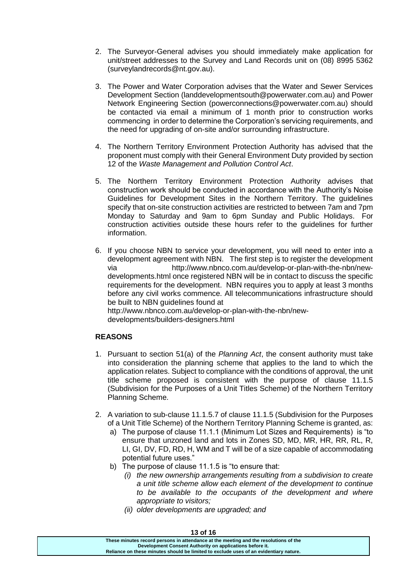- 2. The Surveyor-General advises you should immediately make application for unit/street addresses to the Survey and Land Records unit on (08) 8995 5362 (surveylandrecords@nt.gov.au).
- 3. The Power and Water Corporation advises that the Water and Sewer Services Development Section (landdevelopmentsouth@powerwater.com.au) and Power Network Engineering Section (powerconnections@powerwater.com.au) should be contacted via email a minimum of 1 month prior to construction works commencing in order to determine the Corporation's servicing requirements, and the need for upgrading of on-site and/or surrounding infrastructure.
- 4. The Northern Territory Environment Protection Authority has advised that the proponent must comply with their General Environment Duty provided by section 12 of the *Waste Management and Pollution Control Act*.
- 5. The Northern Territory Environment Protection Authority advises that construction work should be conducted in accordance with the Authority's Noise Guidelines for Development Sites in the Northern Territory. The guidelines specify that on-site construction activities are restricted to between 7am and 7pm Monday to Saturday and 9am to 6pm Sunday and Public Holidays. For construction activities outside these hours refer to the guidelines for further information.
- 6. If you choose NBN to service your development, you will need to enter into a development agreement with NBN. The first step is to register the development via http://www.nbnco.com.au/develop-or-plan-with-the-nbn/newdevelopments.html once registered NBN will be in contact to discuss the specific requirements for the development. NBN requires you to apply at least 3 months before any civil works commence. All telecommunications infrastructure should be built to NBN guidelines found at http://www.nbnco.com.au/develop-or-plan-with-the-nbn/newdevelopments/builders-designers.html

# **REASONS**

- 1. Pursuant to section 51(a) of the *Planning Act*, the consent authority must take into consideration the planning scheme that applies to the land to which the application relates. Subject to compliance with the conditions of approval, the unit title scheme proposed is consistent with the purpose of clause 11.1.5 (Subdivision for the Purposes of a Unit Titles Scheme) of the Northern Territory Planning Scheme.
- 2. A variation to sub-clause 11.1.5.7 of clause 11.1.5 (Subdivision for the Purposes of a Unit Title Scheme) of the Northern Territory Planning Scheme is granted, as:
	- a) The purpose of clause 11.1.1 (Minimum Lot Sizes and Requirements) is "to ensure that unzoned land and lots in Zones SD, MD, MR, HR, RR, RL, R, LI, GI, DV, FD, RD, H, WM and T will be of a size capable of accommodating potential future uses."
	- b) The purpose of clause 11.1.5 is "to ensure that:
		- *(i) the new ownership arrangements resulting from a subdivision to create a unit title scheme allow each element of the development to continue to be available to the occupants of the development and where appropriate to visitors;*
		- *(ii) older developments are upgraded; and*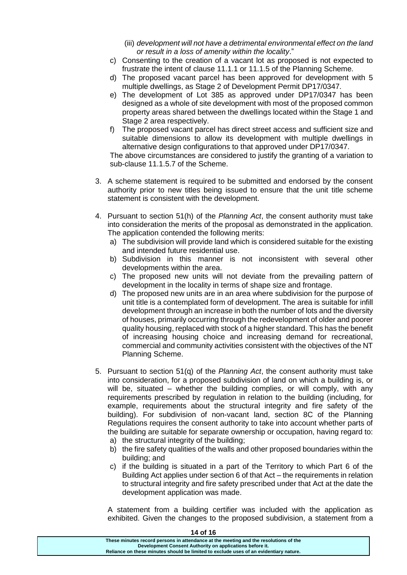- (iii) *development will not have a detrimental environmental effect on the land or result in a loss of amenity within the locality*."
- c) Consenting to the creation of a vacant lot as proposed is not expected to frustrate the intent of clause 11.1.1 or 11.1.5 of the Planning Scheme.
- d) The proposed vacant parcel has been approved for development with 5 multiple dwellings, as Stage 2 of Development Permit DP17/0347.
- e) The development of Lot 385 as approved under DP17/0347 has been designed as a whole of site development with most of the proposed common property areas shared between the dwellings located within the Stage 1 and Stage 2 area respectively.
- f) The proposed vacant parcel has direct street access and sufficient size and suitable dimensions to allow its development with multiple dwellings in alternative design configurations to that approved under DP17/0347.

The above circumstances are considered to justify the granting of a variation to sub-clause 11.1.5.7 of the Scheme.

- 3. A scheme statement is required to be submitted and endorsed by the consent authority prior to new titles being issued to ensure that the unit title scheme statement is consistent with the development.
- 4. Pursuant to section 51(h) of the *Planning Act*, the consent authority must take into consideration the merits of the proposal as demonstrated in the application. The application contended the following merits:
	- a) The subdivision will provide land which is considered suitable for the existing and intended future residential use.
	- b) Subdivision in this manner is not inconsistent with several other developments within the area.
	- c) The proposed new units will not deviate from the prevailing pattern of development in the locality in terms of shape size and frontage.
	- d) The proposed new units are in an area where subdivision for the purpose of unit title is a contemplated form of development. The area is suitable for infill development through an increase in both the number of lots and the diversity of houses, primarily occurring through the redevelopment of older and poorer quality housing, replaced with stock of a higher standard. This has the benefit of increasing housing choice and increasing demand for recreational, commercial and community activities consistent with the objectives of the NT Planning Scheme.
- 5. Pursuant to section 51(q) of the *Planning Act*, the consent authority must take into consideration, for a proposed subdivision of land on which a building is, or will be, situated – whether the building complies, or will comply, with any requirements prescribed by regulation in relation to the building (including, for example, requirements about the structural integrity and fire safety of the building). For subdivision of non-vacant land, section 8C of the Planning Regulations requires the consent authority to take into account whether parts of the building are suitable for separate ownership or occupation, having regard to:
	- a) the structural integrity of the building;
	- b) the fire safety qualities of the walls and other proposed boundaries within the building; and
	- c) if the building is situated in a part of the Territory to which Part 6 of the Building Act applies under section 6 of that Act – the requirements in relation to structural integrity and fire safety prescribed under that Act at the date the development application was made.

A statement from a building certifier was included with the application as exhibited. Given the changes to the proposed subdivision, a statement from a

| 14 of 16                                                                                                                                         |
|--------------------------------------------------------------------------------------------------------------------------------------------------|
| These minutes record persons in attendance at the meeting and the resolutions of the<br>Development Consent Authority on applications before it. |
| Reliance on these minutes should be limited to exclude uses of an evidentiary nature.                                                            |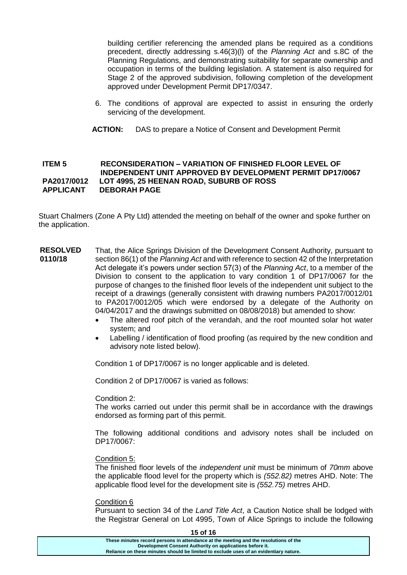building certifier referencing the amended plans be required as a conditions precedent, directly addressing s.46(3)(l) of the *Planning Act* and s.8C of the Planning Regulations, and demonstrating suitability for separate ownership and occupation in terms of the building legislation. A statement is also required for Stage 2 of the approved subdivision, following completion of the development approved under Development Permit DP17/0347.

- 6. The conditions of approval are expected to assist in ensuring the orderly servicing of the development.
- **ACTION:** DAS to prepare a Notice of Consent and Development Permit

#### **ITEM 5 RECONSIDERATION – VARIATION OF FINISHED FLOOR LEVEL OF INDEPENDENT UNIT APPROVED BY DEVELOPMENT PERMIT DP17/0067 PA2017/0012 LOT 4995, 25 HEENAN ROAD, SUBURB OF ROSS APPLICANT DEBORAH PAGE**

Stuart Chalmers (Zone A Pty Ltd) attended the meeting on behalf of the owner and spoke further on the application.

- **RESOLVED 0110/18** That, the Alice Springs Division of the Development Consent Authority, pursuant to section 86(1) of the *Planning Act* and with reference to section 42 of the Interpretation Act delegate it's powers under section 57(3) of the *Planning Act*, to a member of the Division to consent to the application to vary condition 1 of DP17/0067 for the purpose of changes to the finished floor levels of the independent unit subject to the receipt of a drawings (generally consistent with drawing numbers PA2017/0012/01 to PA2017/0012/05 which were endorsed by a delegate of the Authority on 04/04/2017 and the drawings submitted on 08/08/2018) but amended to show:
	- The altered roof pitch of the verandah, and the roof mounted solar hot water system; and
	- Labelling / identification of flood proofing (as required by the new condition and advisory note listed below).

Condition 1 of DP17/0067 is no longer applicable and is deleted.

Condition 2 of DP17/0067 is varied as follows:

Condition 2:

The works carried out under this permit shall be in accordance with the drawings endorsed as forming part of this permit.

The following additional conditions and advisory notes shall be included on DP17/0067:

#### Condition 5:

The finished floor levels of the *independent unit* must be minimum of *70mm* above the applicable flood level for the property which is *(552.82)* metres AHD. Note: The applicable flood level for the development site is *(552.75)* metres AHD.

#### Condition 6

Pursuant to section 34 of the *Land Title Act*, a Caution Notice shall be lodged with the Registrar General on Lot 4995, Town of Alice Springs to include the following

**15 of 16 These minutes record persons in attendance at the meeting and the resolutions of the Development Consent Authority on applications before it. Reliance on these minutes should be limited to exclude uses of an evidentiary nature.**